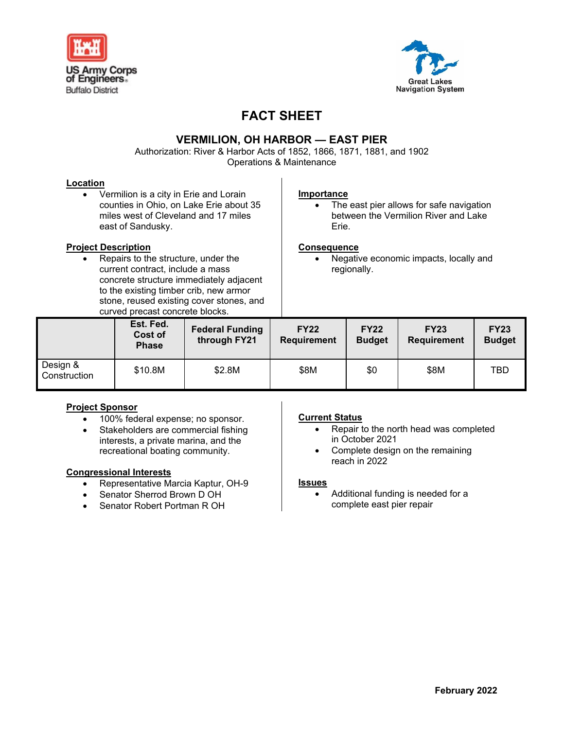



# **FACT SHEET**

# **VERMILION, OH HARBOR — EAST PIER**

Authorization: River & Harbor Acts of 1852, 1866, 1871, 1881, and 1902 Operations & Maintenance

#### **Location**

• Vermilion is a city in Erie and Lorain counties in Ohio, on Lake Erie about 35 miles west of Cleveland and 17 miles east of Sandusky.

## **Project Description**

• Repairs to the structure, under the current contract, include a mass concrete structure immediately adjacent to the existing timber crib, new armor stone, reused existing cover stones, and curved precast concrete blocks.

#### **Importance**

• The east pier allows for safe navigation between the Vermilion River and Lake Erie.

#### **Consequence**

• Negative economic impacts, locally and regionally.

|                          | <u>our vou procude correrous proche.</u><br>Est. Fed.<br>Cost of<br><b>Phase</b> | <b>Federal Funding</b><br>through FY21 | <b>FY22</b><br><b>Requirement</b> | <b>FY22</b><br><b>Budget</b> | <b>FY23</b><br><b>Requirement</b> | <b>FY23</b><br><b>Budget</b> |
|--------------------------|----------------------------------------------------------------------------------|----------------------------------------|-----------------------------------|------------------------------|-----------------------------------|------------------------------|
| Design &<br>Construction | \$10.8M                                                                          | \$2.8M                                 | \$8M                              | \$0                          | \$8M                              | TBD                          |

# **Project Sponsor**

- 100% federal expense; no sponsor.
- Stakeholders are commercial fishing interests, a private marina, and the recreational boating community.

## **Congressional Interests**

- Representative Marcia Kaptur, OH-9
- Senator Sherrod Brown D OH
- Senator Robert Portman R OH

## **Current Status**

- Repair to the north head was completed in October 2021
- Complete design on the remaining reach in 2022

#### **Issues**

• Additional funding is needed for a complete east pier repair